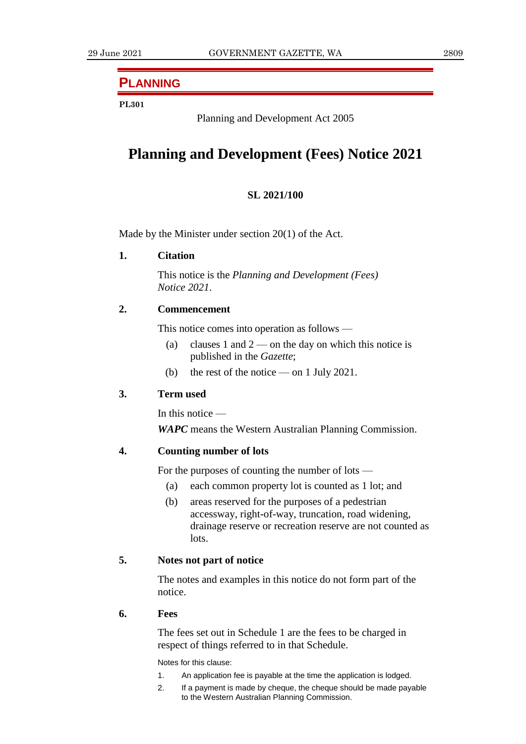# **PLANNING**

# **PL301**

Planning and Development Act 2005

# **Planning and Development (Fees) Notice 2021**

# **SL 2021/100**

Made by the Minister under section 20(1) of the Act.

**1. Citation**

This notice is the *Planning and Development (Fees) Notice 2021*.

# **2. Commencement**

This notice comes into operation as follows —

- (a) clauses 1 and  $2$  on the day on which this notice is published in the *Gazette*;
- (b) the rest of the notice on 1 July 2021.

# **3. Term used**

In this notice —

*WAPC* means the Western Australian Planning Commission.

# **4. Counting number of lots**

For the purposes of counting the number of lots —

- (a) each common property lot is counted as 1 lot; and
- (b) areas reserved for the purposes of a pedestrian accessway, right-of-way, truncation, road widening, drainage reserve or recreation reserve are not counted as lots.

# **5. Notes not part of notice**

The notes and examples in this notice do not form part of the notice.

# **6. Fees**

The fees set out in Schedule 1 are the fees to be charged in respect of things referred to in that Schedule.

Notes for this clause:

- 1. An application fee is payable at the time the application is lodged.
- 2. If a payment is made by cheque, the cheque should be made payable to the Western Australian Planning Commission.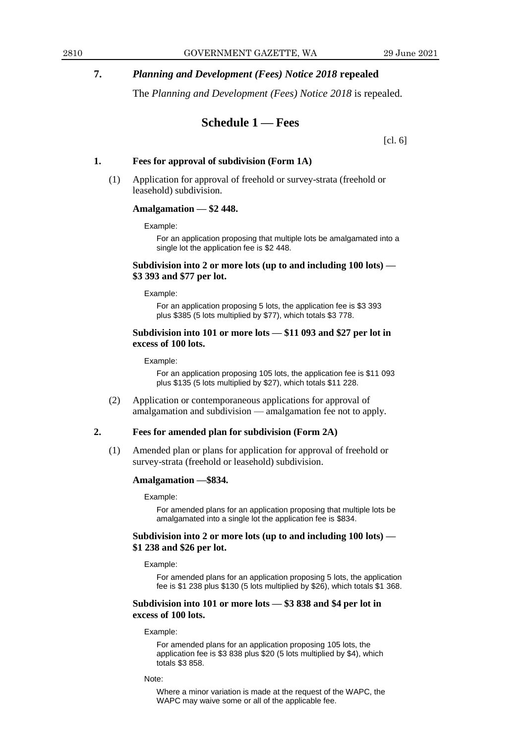# **7.** *Planning and Development (Fees) Notice 2018* **repealed**

The *Planning and Development (Fees) Notice 2018* is repealed.

# **Schedule 1 — Fees**

[cl. 6]

# **1. Fees for approval of subdivision (Form 1A)**

(1) Application for approval of freehold or survey-strata (freehold or leasehold) subdivision.

# **Amalgamation — \$2 448.**

Example:

For an application proposing that multiple lots be amalgamated into a single lot the application fee is \$2 448.

# **Subdivision into 2 or more lots (up to and including 100 lots) — \$3 393 and \$77 per lot.**

#### Example:

For an application proposing 5 lots, the application fee is \$3 393 plus \$385 (5 lots multiplied by \$77), which totals \$3 778.

### **Subdivision into 101 or more lots — \$11 093 and \$27 per lot in excess of 100 lots.**

#### Example:

For an application proposing 105 lots, the application fee is \$11 093 plus \$135 (5 lots multiplied by \$27), which totals \$11 228.

(2) Application or contemporaneous applications for approval of amalgamation and subdivision — amalgamation fee not to apply.

# **2. Fees for amended plan for subdivision (Form 2A)**

(1) Amended plan or plans for application for approval of freehold or survey-strata (freehold or leasehold) subdivision.

### **Amalgamation —\$834.**

#### Example:

For amended plans for an application proposing that multiple lots be amalgamated into a single lot the application fee is \$834.

# **Subdivision into 2 or more lots (up to and including 100 lots) — \$1 238 and \$26 per lot.**

#### Example:

For amended plans for an application proposing 5 lots, the application fee is \$1 238 plus \$130 (5 lots multiplied by \$26), which totals \$1 368.

### **Subdivision into 101 or more lots — \$3 838 and \$4 per lot in excess of 100 lots.**

#### Example:

For amended plans for an application proposing 105 lots, the application fee is \$3 838 plus \$20 (5 lots multiplied by \$4), which totals \$3 858.

#### Note:

Where a minor variation is made at the request of the WAPC, the WAPC may waive some or all of the applicable fee.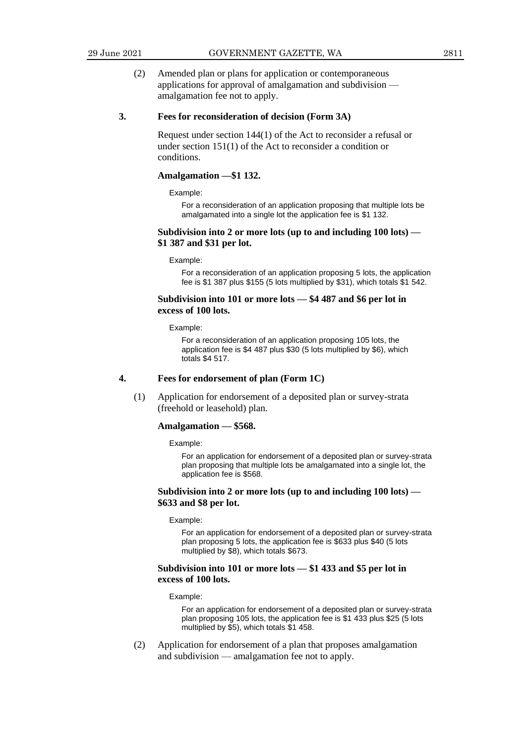(2) Amended plan or plans for application or contemporaneous applications for approval of amalgamation and subdivision amalgamation fee not to apply.

### **3. Fees for reconsideration of decision (Form 3A)**

Request under section 144(1) of the Act to reconsider a refusal or under section 151(1) of the Act to reconsider a condition or conditions.

### **Amalgamation —\$1 132.**

Example:

For a reconsideration of an application proposing that multiple lots be amalgamated into a single lot the application fee is \$1 132.

### **Subdivision into 2 or more lots (up to and including 100 lots) — \$1 387 and \$31 per lot.**

#### Example:

For a reconsideration of an application proposing 5 lots, the application fee is \$1 387 plus \$155 (5 lots multiplied by \$31), which totals \$1 542.

### **Subdivision into 101 or more lots — \$4 487 and \$6 per lot in excess of 100 lots.**

Example:

For a reconsideration of an application proposing 105 lots, the application fee is \$4 487 plus \$30 (5 lots multiplied by \$6), which totals \$4 517.

#### **4. Fees for endorsement of plan (Form 1C)**

(1) Application for endorsement of a deposited plan or survey-strata (freehold or leasehold) plan.

#### **Amalgamation — \$568.**

Example:

For an application for endorsement of a deposited plan or survey-strata plan proposing that multiple lots be amalgamated into a single lot, the application fee is \$568.

### **Subdivision into 2 or more lots (up to and including 100 lots) — \$633 and \$8 per lot.**

#### Example:

For an application for endorsement of a deposited plan or survey-strata plan proposing 5 lots, the application fee is \$633 plus \$40 (5 lots multiplied by \$8), which totals \$673.

### **Subdivision into 101 or more lots — \$1 433 and \$5 per lot in excess of 100 lots.**

#### Example:

For an application for endorsement of a deposited plan or survey-strata plan proposing 105 lots, the application fee is \$1 433 plus \$25 (5 lots multiplied by \$5), which totals \$1 458.

(2) Application for endorsement of a plan that proposes amalgamation and subdivision — amalgamation fee not to apply.